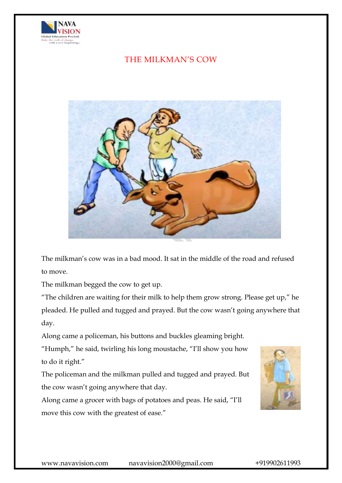

## THE MILKMAN'S COW



The milkman's cow was in a bad mood. It sat in the middle of the road and refused to move.

The milkman begged the cow to get up.

"The children are waiting for their milk to help them grow strong. Please get up," he pleaded. He pulled and tugged and prayed. But the cow wasn't going anywhere that day.

Along came a policeman, his buttons and buckles gleaming bright.

"Humph," he said, twirling his long moustache, "I'll show you how to do it right."

The policeman and the milkman pulled and tugged and prayed. But the cow wasn't going anywhere that day.

Along came a grocer with bags of potatoes and peas. He said, "I'll move this cow with the greatest of ease."

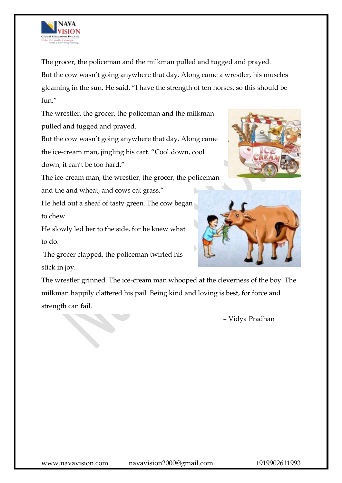

The grocer, the policeman and the milkman pulled and tugged and prayed. But the cow wasn't going anywhere that day. Along came a wrestler, his muscles gleaming in the sun. He said, "I have the strength of ten horses, so this should be  $f$ <sub>11</sub> $''$ 

The wrestler, the grocer, the policeman and the milkman pulled and tugged and prayed.

But the cow wasn't going anywhere that day. Along came the ice-cream man, jingling his cart. "Cool down, cool down, it can't be too hard."

The ice-cream man, the wrestler, the grocer, the policeman and the and wheat, and cows eat grass."

He held out a sheaf of tasty green. The cow began to chew.

He slowly led her to the side, for he knew what to do.

The grocer clapped, the policeman twirled his stick in joy.





The wrestler grinned. The ice-cream man whooped at the cleverness of the boy. The milkman happily clattered his pail. Being kind and loving is best, for force and strength can fail.

– Vidya Pradhan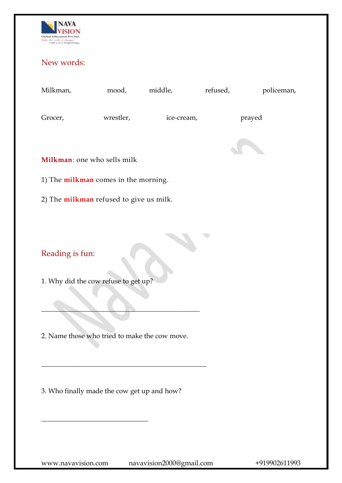

## New words:

mood, middle, refused, policeman,

Grocer, wrestler, ice-cream, prayed



**Milkman**: one who sells milk

1) The **milkman** comes in the morning.

2) The **milkman** refused to give us milk.

Reading is fun:

1. Why did the cow refuse to get up?

2. Name those who tried to make the cow move.

 $\qquad \qquad \blacksquare$ 

\_\_\_\_\_\_\_\_\_\_\_\_\_\_\_\_\_\_\_\_\_\_\_\_\_\_\_\_\_\_\_\_\_\_\_\_\_\_\_\_\_\_\_\_\_\_\_\_

3. Who finally made the cow get up and how?

 $\overline{\phantom{a}}$  , where  $\overline{\phantom{a}}$  , where  $\overline{\phantom{a}}$  ,  $\overline{\phantom{a}}$  ,  $\overline{\phantom{a}}$  ,  $\overline{\phantom{a}}$  ,  $\overline{\phantom{a}}$  ,  $\overline{\phantom{a}}$  ,  $\overline{\phantom{a}}$  ,  $\overline{\phantom{a}}$  ,  $\overline{\phantom{a}}$  ,  $\overline{\phantom{a}}$  ,  $\overline{\phantom{a}}$  ,  $\overline{\phantom{a}}$  ,  $\overline{\phantom{a}}$  ,